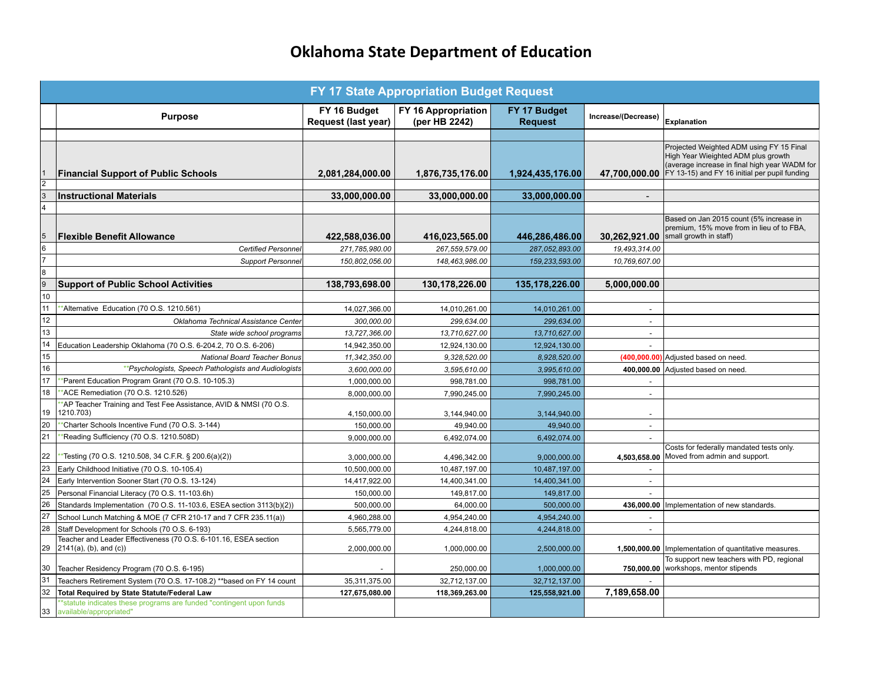## **Oklahoma State Department of Education**

| <b>FY 17 State Appropriation Budget Request</b>                         |                                                                                                 |                                     |                                      |                                |                          |                                                                                                                                                                                   |  |  |  |
|-------------------------------------------------------------------------|-------------------------------------------------------------------------------------------------|-------------------------------------|--------------------------------------|--------------------------------|--------------------------|-----------------------------------------------------------------------------------------------------------------------------------------------------------------------------------|--|--|--|
|                                                                         | <b>Purpose</b>                                                                                  | FY 16 Budget<br>Request (last year) | FY 16 Appropriation<br>(per HB 2242) | FY 17 Budget<br><b>Request</b> | Increase/(Decrease)      | <b>Explanation</b>                                                                                                                                                                |  |  |  |
|                                                                         |                                                                                                 |                                     |                                      |                                |                          |                                                                                                                                                                                   |  |  |  |
|                                                                         | <b>Financial Support of Public Schools</b>                                                      | 2,081,284,000.00                    | 1,876,735,176.00                     | 1,924,435,176.00               | 47.700.000.00            | Projected Weighted ADM using FY 15 Final<br>High Year Wieighted ADM plus growth<br>(average increase in final high year WADM for<br>FY 13-15) and FY 16 initial per pupil funding |  |  |  |
| $\overline{2}$<br>$\overline{3}$                                        |                                                                                                 |                                     |                                      |                                |                          |                                                                                                                                                                                   |  |  |  |
| $\overline{4}$                                                          | <b>Instructional Materials</b>                                                                  | 33,000,000.00                       | 33,000,000.00                        | 33,000,000.00                  |                          |                                                                                                                                                                                   |  |  |  |
| 5                                                                       | <b>Flexible Benefit Allowance</b>                                                               | 422,588,036.00                      | 416,023,565.00                       | 446,286,486.00                 | 30,262,921.00            | Based on Jan 2015 count (5% increase in<br>premium, 15% move from in lieu of to FBA,<br>small growth in staff)                                                                    |  |  |  |
| $\frac{6}{7}$                                                           | <b>Certified Personne</b>                                                                       | 271,785,980.00                      | 267,559,579.00                       | 287,052,893.00                 | 19,493,314.00            |                                                                                                                                                                                   |  |  |  |
|                                                                         | <b>Support Personne</b>                                                                         | 150,802,056.00                      | 148,463,986.00                       | 159, 233, 593.00               | 10,769,607.00            |                                                                                                                                                                                   |  |  |  |
|                                                                         |                                                                                                 |                                     |                                      |                                |                          |                                                                                                                                                                                   |  |  |  |
| $\begin{array}{c c}\n\hline\n8 \\ \hline\n9 \\ \hline\n10\n\end{array}$ | <b>Support of Public School Activities</b>                                                      | 138,793,698.00                      | 130,178,226.00                       | 135,178,226.00                 | 5,000,000.00             |                                                                                                                                                                                   |  |  |  |
|                                                                         |                                                                                                 |                                     |                                      |                                |                          |                                                                                                                                                                                   |  |  |  |
| 11<br>$\overline{12}$                                                   | *Alternative Education (70 O.S. 1210.561)                                                       | 14,027,366.00                       | 14,010,261.00                        | 14,010,261.00                  |                          |                                                                                                                                                                                   |  |  |  |
| $\overline{13}$                                                         | Oklahoma Technical Assistance Center                                                            | 300,000.00                          | 299,634.00                           | 299,634.00                     | $\overline{\phantom{a}}$ |                                                                                                                                                                                   |  |  |  |
| 14                                                                      | State wide school programs                                                                      | 13,727,366.00                       | 13,710,627.00                        | 13,710,627.00                  | $\overline{\phantom{a}}$ |                                                                                                                                                                                   |  |  |  |
| $\overline{15}$                                                         | Education Leadership Oklahoma (70 O.S. 6-204.2, 70 O.S. 6-206)                                  | 14,942,350.00                       | 12,924,130.00                        | 12,924,130.00                  |                          |                                                                                                                                                                                   |  |  |  |
| $\overline{16}$                                                         | <b>National Board Teacher Bonus</b><br>**Psychologists, Speech Pathologists and Audiologists    | 11,342,350.00                       | 9,328,520.00                         | 8,928,520.00                   |                          | (400,000.00) Adjusted based on need.                                                                                                                                              |  |  |  |
| 17                                                                      | *Parent Education Program Grant (70 O.S. 10-105.3)                                              | 3,600,000.00<br>1,000,000.00        | 3,595,610.00<br>998,781.00           | 3,995,610.00<br>998,781.00     | 400,000.00               | Adjusted based on need.                                                                                                                                                           |  |  |  |
| 18                                                                      | *ACE Remediation (70 O.S. 1210.526)                                                             | 8,000,000.00                        | 7,990,245.00                         | 7,990,245.00                   | $\overline{\phantom{a}}$ |                                                                                                                                                                                   |  |  |  |
| 19                                                                      | *AP Teacher Training and Test Fee Assistance, AVID & NMSI (70 O.S.<br>1210.703)                 | 4,150,000.00                        | 3,144,940.00                         | 3,144,940.00                   |                          |                                                                                                                                                                                   |  |  |  |
| 20                                                                      | *Charter Schools Incentive Fund (70 O.S. 3-144)                                                 | 150,000.00                          | 49,940.00                            | 49,940.00                      |                          |                                                                                                                                                                                   |  |  |  |
| $\overline{21}$                                                         | "Reading Sufficiency (70 O.S. 1210.508D)                                                        | 9.000.000.00                        | 6.492.074.00                         | 6,492,074.00                   | $\overline{a}$           |                                                                                                                                                                                   |  |  |  |
| 22                                                                      | *Testing (70 O.S. 1210.508, 34 C.F.R. § 200.6(a)(2))                                            | 3,000,000.00                        | 4,496,342.00                         | 9,000,000.00                   | 4,503,658.00             | Costs for federally mandated tests only.<br>Moved from admin and support.                                                                                                         |  |  |  |
| 23                                                                      | Early Childhood Initiative (70 O.S. 10-105.4)                                                   | 10,500,000.00                       | 10,487,197.00                        | 10,487,197.00                  |                          |                                                                                                                                                                                   |  |  |  |
| $\overline{24}$                                                         | Early Intervention Sooner Start (70 O.S. 13-124)                                                | 14,417,922.00                       | 14,400,341.00                        | 14,400,341.00                  | $\sim$                   |                                                                                                                                                                                   |  |  |  |
| $\overline{25}$                                                         | Personal Financial Literacy (70 O.S. 11-103.6h)                                                 | 150,000.00                          | 149,817.00                           | 149,817.00                     |                          |                                                                                                                                                                                   |  |  |  |
| $\overline{26}$                                                         | Standards Implementation (70 O.S. 11-103.6, ESEA section 3113(b)(2))                            | 500,000.00                          | 64,000.00                            | 500,000.00                     | 436,000.00               | mplementation of new standards.                                                                                                                                                   |  |  |  |
| $\overline{27}$                                                         | School Lunch Matching & MOE (7 CFR 210-17 and 7 CFR 235.11(a))                                  | 4,960,288.00                        | 4,954,240.00                         | 4,954,240.00                   |                          |                                                                                                                                                                                   |  |  |  |
| 28                                                                      | Staff Development for Schools (70 O.S. 6-193)                                                   | 5,565,779.00                        | 4,244,818.00                         | 4,244,818.00                   |                          |                                                                                                                                                                                   |  |  |  |
| 29                                                                      | Teacher and Leader Effectiveness (70 O.S. 6-101.16, ESEA section<br>2141(a), (b), and (c))      | 2,000,000.00                        | 1,000,000.00                         | 2,500,000.00                   |                          | 1,500,000.00   Implementation of quantitative measures.                                                                                                                           |  |  |  |
| 30                                                                      | Teacher Residency Program (70 O.S. 6-195)                                                       |                                     | 250,000.00                           | 1,000,000.00                   | 750,000.00               | To support new teachers with PD, regional<br>workshops, mentor stipends                                                                                                           |  |  |  |
| 31                                                                      | Teachers Retirement System (70 O.S. 17-108.2) ** based on FY 14 count                           | 35,311,375.00                       | 32,712,137.00                        | 32,712,137.00                  |                          |                                                                                                                                                                                   |  |  |  |
| 32                                                                      | <b>Total Required by State Statute/Federal Law</b>                                              | 127,675,080.00                      | 118,369,263.00                       | 125,558,921.00                 | 7,189,658.00             |                                                                                                                                                                                   |  |  |  |
| 33                                                                      | *statute indicates these programs are funded "contingent upon funds"<br>available/appropriated" |                                     |                                      |                                |                          |                                                                                                                                                                                   |  |  |  |